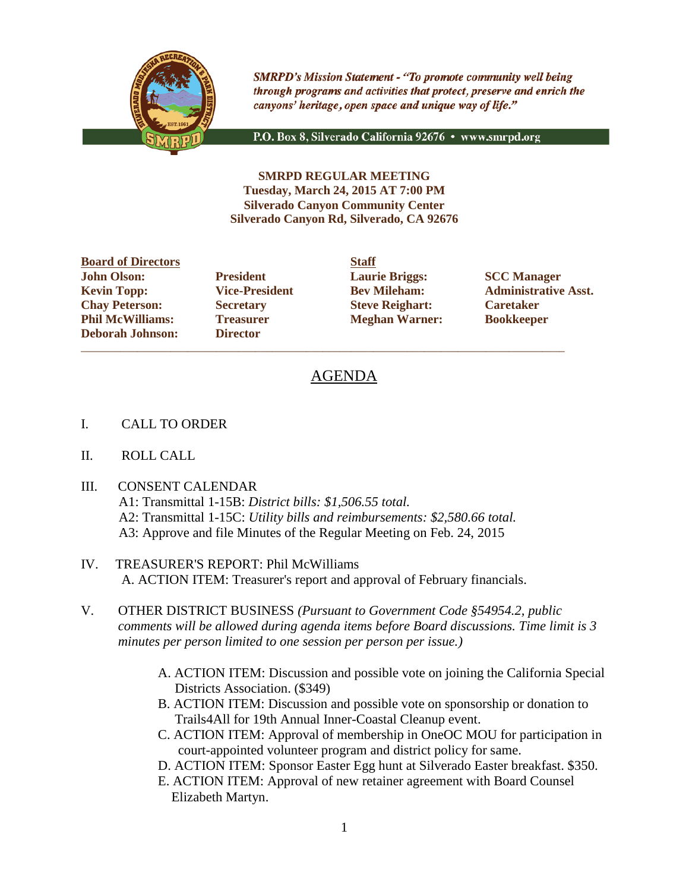

**SMRPD's Mission Statement - "To promote community well being** through programs and activities that protect, preserve and enrich the canyons' heritage, open space and unique way of life."

P.O. Box 8, Silverado California 92676 · www.smrpd.org

**SMRPD REGULAR MEETING Tuesday, March 24, 2015 AT 7:00 PM Silverado Canyon Community Center Silverado Canyon Rd, Silverado, CA 92676**

**Board of Directors Staff John Olson: President Laurie Briggs: SCC Manager**<br> **Revin Topp: President President Bev Mileham: Administrative Chay Peterson: Secretary Steve Reighart: Caretaker Phil McWilliams: Treasurer Meghan Warner: Bookkeeper Deborah Johnson: Director**

\_\_\_\_\_\_\_\_\_\_\_\_\_\_\_\_\_\_\_\_\_\_\_\_\_\_\_\_\_\_\_\_\_\_\_\_\_\_\_\_\_\_\_\_\_\_\_\_\_\_\_\_\_\_\_\_\_\_\_\_\_\_\_\_\_\_\_\_\_\_\_\_\_\_\_\_\_\_\_\_\_\_\_\_\_\_

**Kevin Topp: Vice-President Bev Mileham: Administrative Asst.**

# AGENDA

- I. CALL TO ORDER
- II. ROLL CALL
- III. CONSENT CALENDAR
	- A1: Transmittal 1-15B: *District bills: \$1,506.55 total.* A2: Transmittal 1-15C: *Utility bills and reimbursements: \$2,580.66 total.* A3: Approve and file Minutes of the Regular Meeting on Feb. 24, 2015
- IV. TREASURER'S REPORT: Phil McWilliams A. ACTION ITEM: Treasurer's report and approval of February financials.
- V. OTHER DISTRICT BUSINESS *(Pursuant to Government Code §54954.2, public comments will be allowed during agenda items before Board discussions. Time limit is 3 minutes per person limited to one session per person per issue.)*
	- A. ACTION ITEM: Discussion and possible vote on joining the California Special Districts Association. (\$349)
	- B. ACTION ITEM: Discussion and possible vote on sponsorship or donation to Trails4All for 19th Annual Inner-Coastal Cleanup event.
	- C. ACTION ITEM: Approval of membership in OneOC MOU for participation in court-appointed volunteer program and district policy for same.
	- D. ACTION ITEM: Sponsor Easter Egg hunt at Silverado Easter breakfast. \$350.
	- E. ACTION ITEM: Approval of new retainer agreement with Board Counsel Elizabeth Martyn.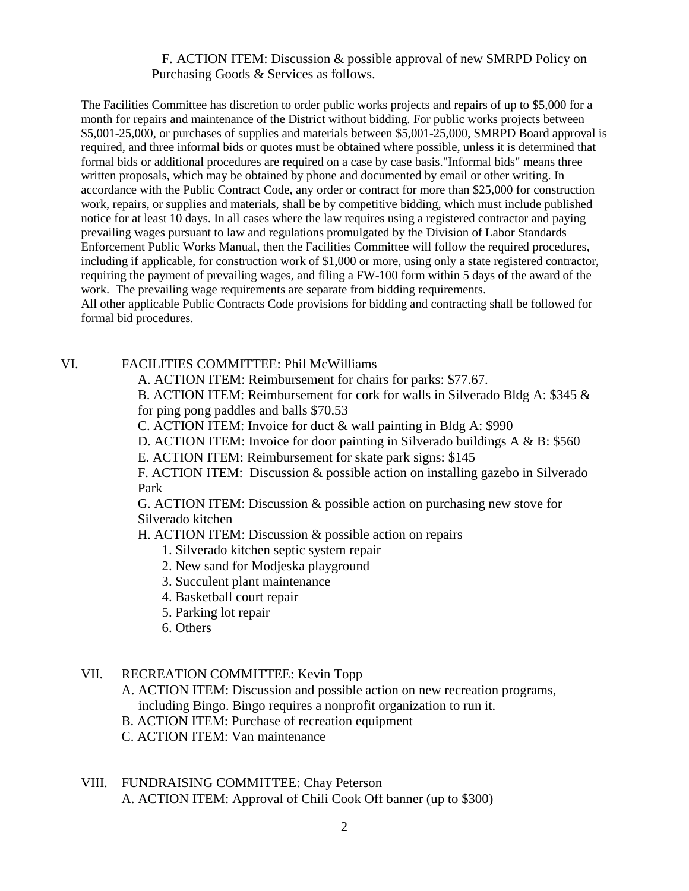### F. ACTION ITEM: Discussion & possible approval of new SMRPD Policy on Purchasing Goods & Services as follows.

The Facilities Committee has discretion to order public works projects and repairs of up to \$5,000 for a month for repairs and maintenance of the District without bidding. For public works projects between \$5,001-25,000, or purchases of supplies and materials between \$5,001-25,000, SMRPD Board approval is required, and three informal bids or quotes must be obtained where possible, unless it is determined that formal bids or additional procedures are required on a case by case basis."Informal bids" means three written proposals, which may be obtained by phone and documented by email or other writing. In accordance with the Public Contract Code, any order or contract for more than \$25,000 for construction work, repairs, or supplies and materials, shall be by competitive bidding, which must include published notice for at least 10 days. In all cases where the law requires using a registered contractor and paying prevailing wages pursuant to law and regulations promulgated by the Division of Labor Standards Enforcement Public Works Manual, then the Facilities Committee will follow the required procedures, including if applicable, for construction work of \$1,000 or more, using only a state registered contractor, requiring the payment of prevailing wages, and filing a FW-100 form within 5 days of the award of the work. The prevailing wage requirements are separate from bidding requirements.

All other applicable Public Contracts Code provisions for bidding and contracting shall be followed for formal bid procedures.

#### VI. FACILITIES COMMITTEE: Phil McWilliams

A. ACTION ITEM: Reimbursement for chairs for parks: \$77.67.

B. ACTION ITEM: Reimbursement for cork for walls in Silverado Bldg A: \$345 & for ping pong paddles and balls \$70.53

C. ACTION ITEM: Invoice for duct & wall painting in Bldg A: \$990

D. ACTION ITEM: Invoice for door painting in Silverado buildings A & B: \$560

E. ACTION ITEM: Reimbursement for skate park signs: \$145

F. ACTION ITEM: Discussion & possible action on installing gazebo in Silverado Park

G. ACTION ITEM: Discussion & possible action on purchasing new stove for Silverado kitchen

H. ACTION ITEM: Discussion & possible action on repairs

- 1. Silverado kitchen septic system repair
- 2. New sand for Modjeska playground
- 3. Succulent plant maintenance
- 4. Basketball court repair
- 5. Parking lot repair
- 6. Others
- VII. RECREATION COMMITTEE: Kevin Topp
	- A. ACTION ITEM: Discussion and possible action on new recreation programs, including Bingo. Bingo requires a nonprofit organization to run it.
	- B. ACTION ITEM: Purchase of recreation equipment
	- C. ACTION ITEM: Van maintenance
- VIII. FUNDRAISING COMMITTEE: Chay Peterson A. ACTION ITEM: Approval of Chili Cook Off banner (up to \$300)